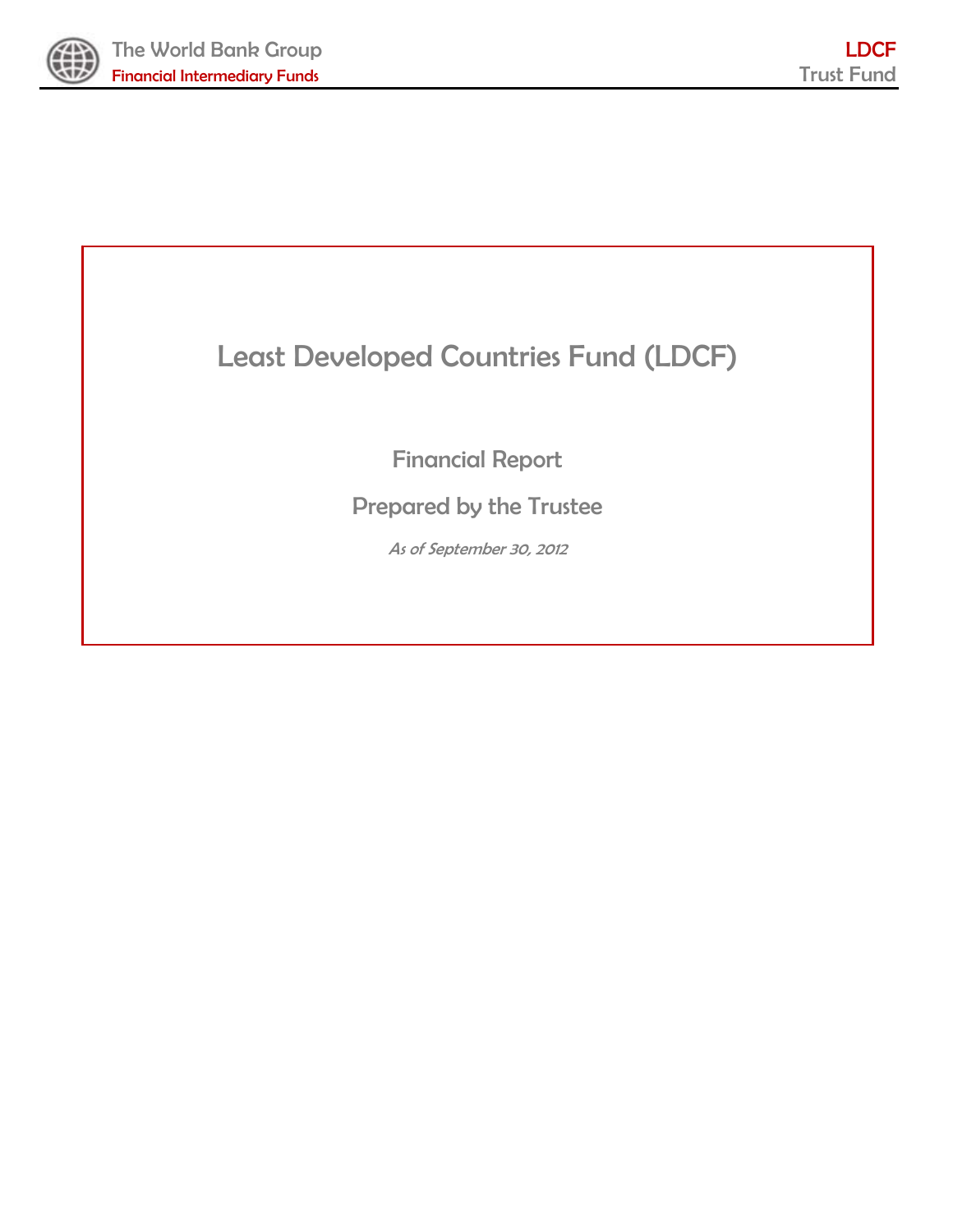

the contract of the contract of the contract of

the contract of the contract of the

# Least Developed Countries Fund (LDCF)

Financial Report

Prepared by the Trustee

As of September 30, 2012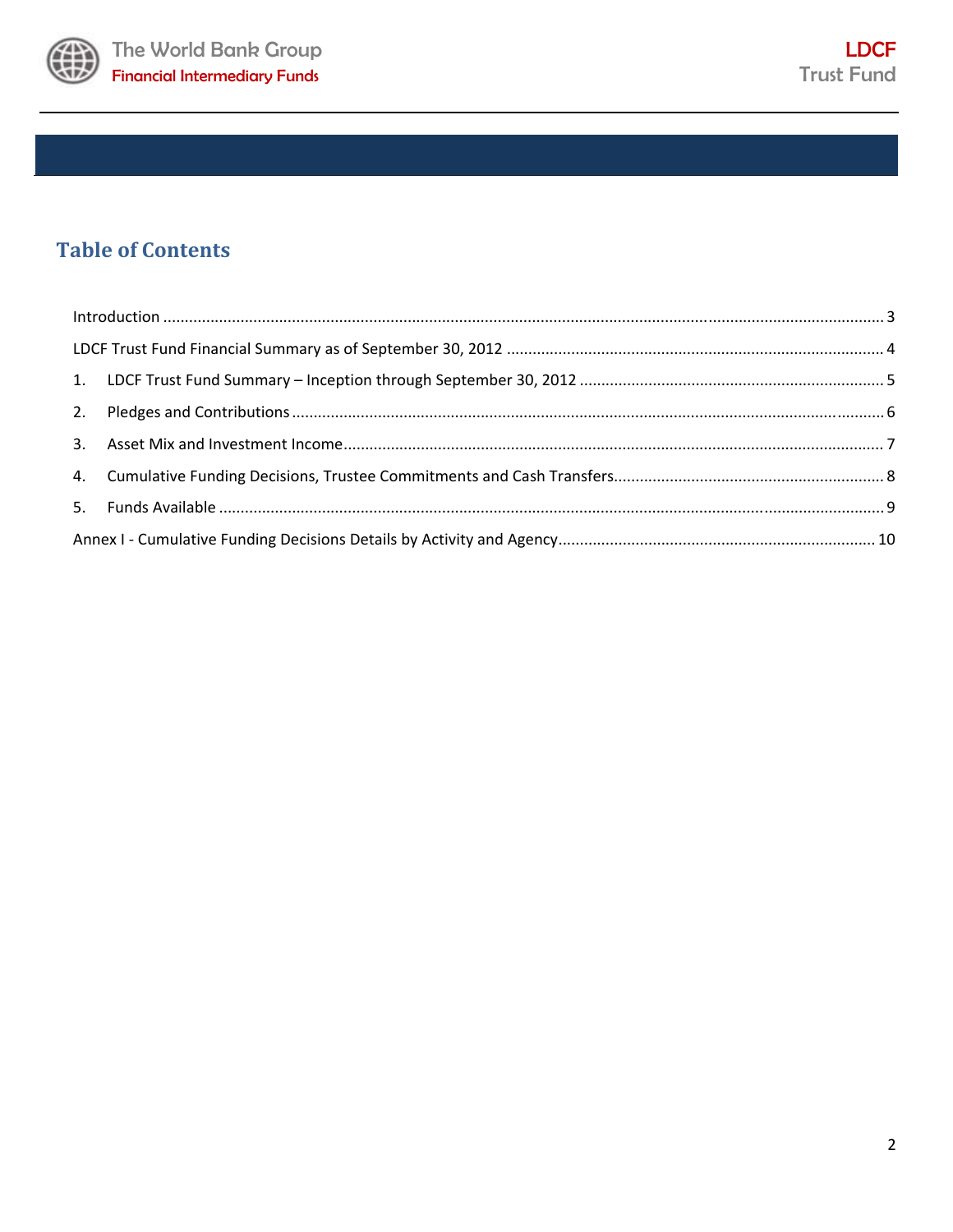

# **Table of Contents**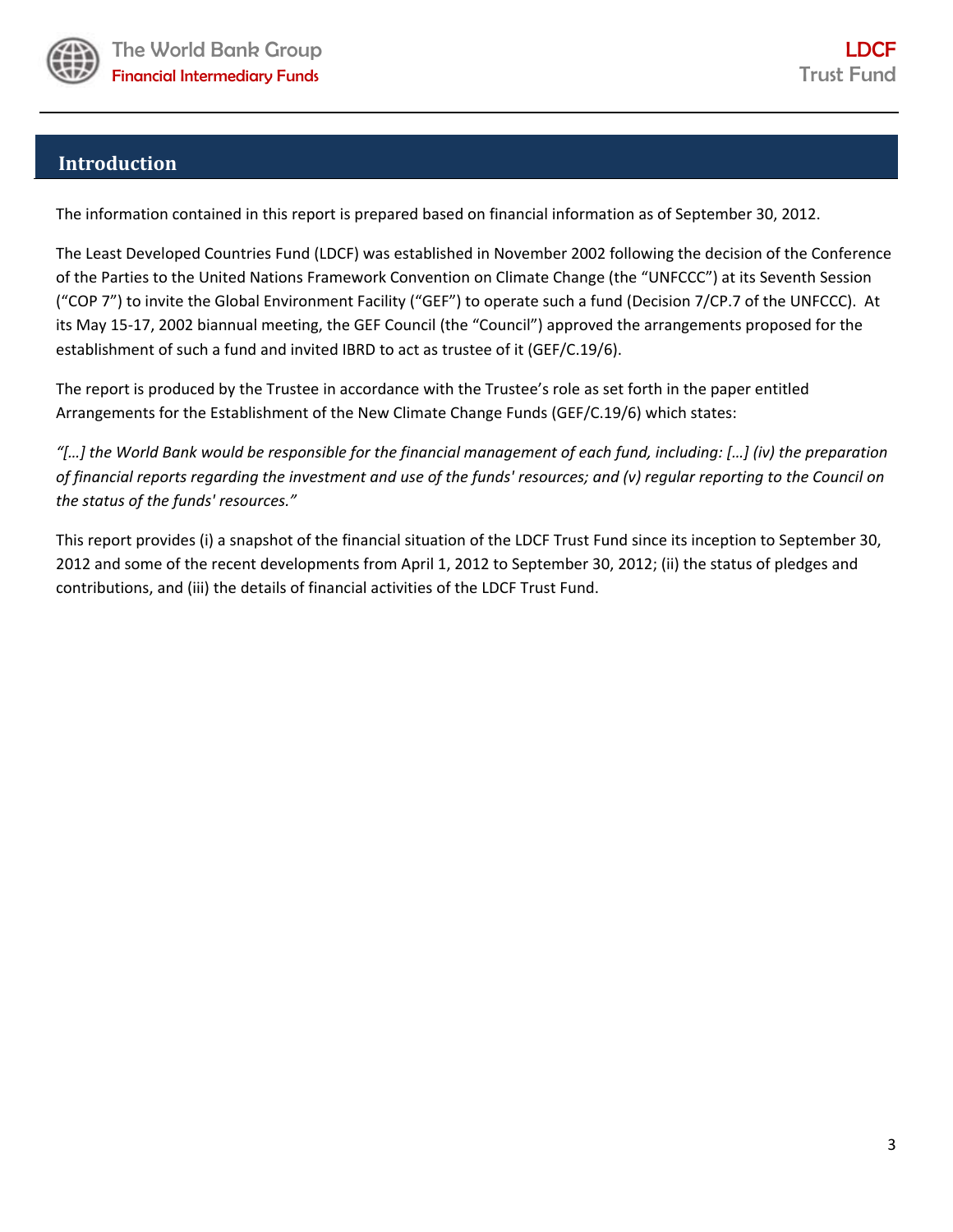

# **Introduction**

The information contained in this report is prepared based on financial information as of September 30, 2012.

The Least Developed Countries Fund (LDCF) was established in November 2002 following the decision of the Conference of the Parties to the United Nations Framework Convention on Climate Change (the "UNFCCC") at its Seventh Session ("COP 7") to invite the Global Environment Facility ("GEF") to operate such a fund (Decision 7/CP.7 of the UNFCCC). At its May 15‐17, 2002 biannual meeting, the GEF Council (the "Council") approved the arrangements proposed for the establishment of such a fund and invited IBRD to act as trustee of it (GEF/C.19/6).

The report is produced by the Trustee in accordance with the Trustee's role as set forth in the paper entitled Arrangements for the Establishment of the New Climate Change Funds (GEF/C.19/6) which states:

"[...] the World Bank would be responsible for the financial management of each fund, including: [...] (iv) the preparation of financial reports regarding the investment and use of the funds' resources; and (v) regular reporting to the Council on *the status of the funds' resources."* 

This report provides (i) a snapshot of the financial situation of the LDCF Trust Fund since its inception to September 30, 2012 and some of the recent developments from April 1, 2012 to September 30, 2012; (ii) the status of pledges and contributions, and (iii) the details of financial activities of the LDCF Trust Fund.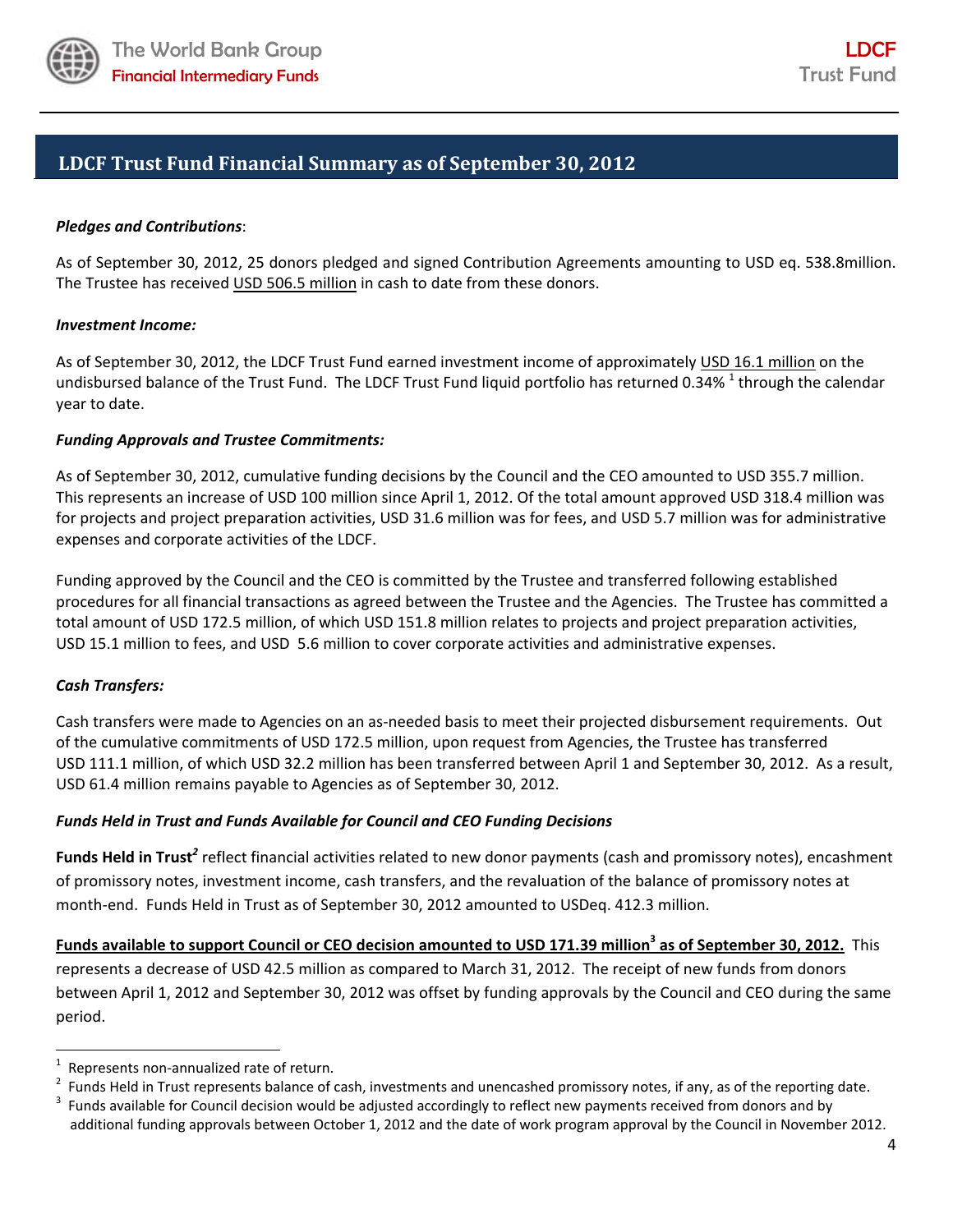

# **LDCF Trust Fund Financial Summary as of September 30, 2012**

#### *Pledges and Contributions*:

As of September 30, 2012, 25 donors pledged and signed Contribution Agreements amounting to USD eq. 538.8million. The Trustee has received USD 506.5 million in cash to date from these donors.

#### *Investment Income:*

As of September 30, 2012, the LDCF Trust Fund earned investment income of approximately USD 16.1 million on the undisbursed balance of the Trust Fund. The LDCF Trust Fund liquid portfolio has returned 0.34% <sup>1</sup> through the calendar year to date.

#### *Funding Approvals and Trustee Commitments:*

As of September 30, 2012, cumulative funding decisions by the Council and the CEO amounted to USD 355.7 million. This represents an increase of USD 100 million since April 1, 2012. Of the total amount approved USD 318.4 million was for projects and project preparation activities, USD 31.6 million was for fees, and USD 5.7 million was for administrative expenses and corporate activities of the LDCF.

Funding approved by the Council and the CEO is committed by the Trustee and transferred following established procedures for all financial transactions as agreed between the Trustee and the Agencies. The Trustee has committed a total amount of USD 172.5 million, of which USD 151.8 million relates to projects and project preparation activities, USD 15.1 million to fees, and USD 5.6 million to cover corporate activities and administrative expenses.

#### *Cash Transfers:*

Cash transfers were made to Agencies on an as‐needed basis to meet their projected disbursement requirements. Out of the cumulative commitments of USD 172.5 million, upon request from Agencies, the Trustee has transferred USD 111.1 million, of which USD 32.2 million has been transferred between April 1 and September 30, 2012. As a result, USD 61.4 million remains payable to Agencies as of September 30, 2012.

### *Funds Held in Trust and Funds Available for Council and CEO Funding Decisions*

**Funds Held in Trust***<sup>2</sup>* reflect financial activities related to new donor payments (cash and promissory notes), encashment of promissory notes, investment income, cash transfers, and the revaluation of the balance of promissory notes at month-end. Funds Held in Trust as of September 30, 2012 amounted to USDeq. 412.3 million.

Funds available to support Council or CEO decision amounted to USD 171.39 million<sup>3</sup> as of September 30, 2012. This represents a decrease of USD 42.5 million as compared to March 31, 2012. The receipt of new funds from donors between April 1, 2012 and September 30, 2012 was offset by funding approvals by the Council and CEO during the same period.

<sup>1</sup> Represents non-annualized rate of return.

<sup>&</sup>lt;sup>2</sup> Funds Held in Trust represents balance of cash, investments and unencashed promissory notes, if any, as of the reporting date.<br><sup>3</sup> Funds available for Council decision would be adjusted accordingly to reflect new naym

Funds available for Council decision would be adjusted accordingly to reflect new payments received from donors and by additional funding approvals between October 1, 2012 and the date of work program approval by the Council in November 2012.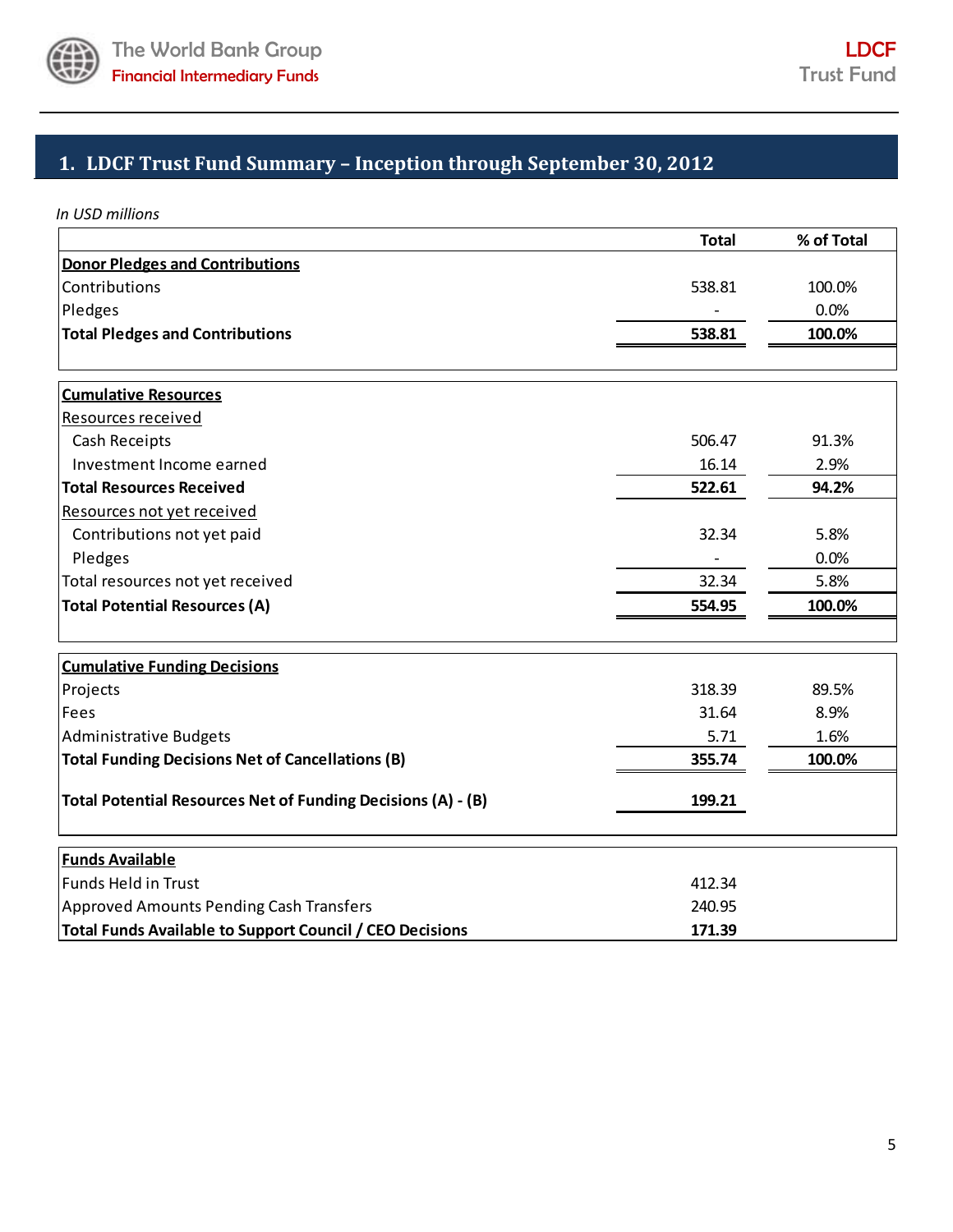

# **1. LDCF Trust Fund Summary – Inception through September 30, 2012**

*In USD millions*

|                                                              | <b>Total</b> | % of Total |
|--------------------------------------------------------------|--------------|------------|
| <b>Donor Pledges and Contributions</b>                       |              |            |
| Contributions                                                | 538.81       | 100.0%     |
| Pledges                                                      |              | 0.0%       |
| <b>Total Pledges and Contributions</b>                       | 538.81       | 100.0%     |
|                                                              |              |            |
| <b>Cumulative Resources</b>                                  |              |            |
| Resources received                                           |              |            |
| Cash Receipts                                                | 506.47       | 91.3%      |
| Investment Income earned                                     | 16.14        | 2.9%       |
| <b>Total Resources Received</b>                              | 522.61       | 94.2%      |
| Resources not yet received                                   |              |            |
| Contributions not yet paid                                   | 32.34        | 5.8%       |
| Pledges                                                      |              | 0.0%       |
| Total resources not yet received                             | 32.34        | 5.8%       |
| <b>Total Potential Resources (A)</b>                         | 554.95       | 100.0%     |
|                                                              |              |            |
| <b>Cumulative Funding Decisions</b><br>Projects              | 318.39       | 89.5%      |
| Fees                                                         | 31.64        | 8.9%       |
| <b>Administrative Budgets</b>                                | 5.71         | 1.6%       |
| <b>Total Funding Decisions Net of Cancellations (B)</b>      | 355.74       | 100.0%     |
|                                                              |              |            |
| Total Potential Resources Net of Funding Decisions (A) - (B) | 199.21       |            |
| <b>Funds Available</b>                                       |              |            |
| <b>Funds Held in Trust</b>                                   | 412.34       |            |
| <b>Approved Amounts Pending Cash Transfers</b>               | 240.95       |            |
| Total Funds Available to Support Council / CEO Decisions     | 171.39       |            |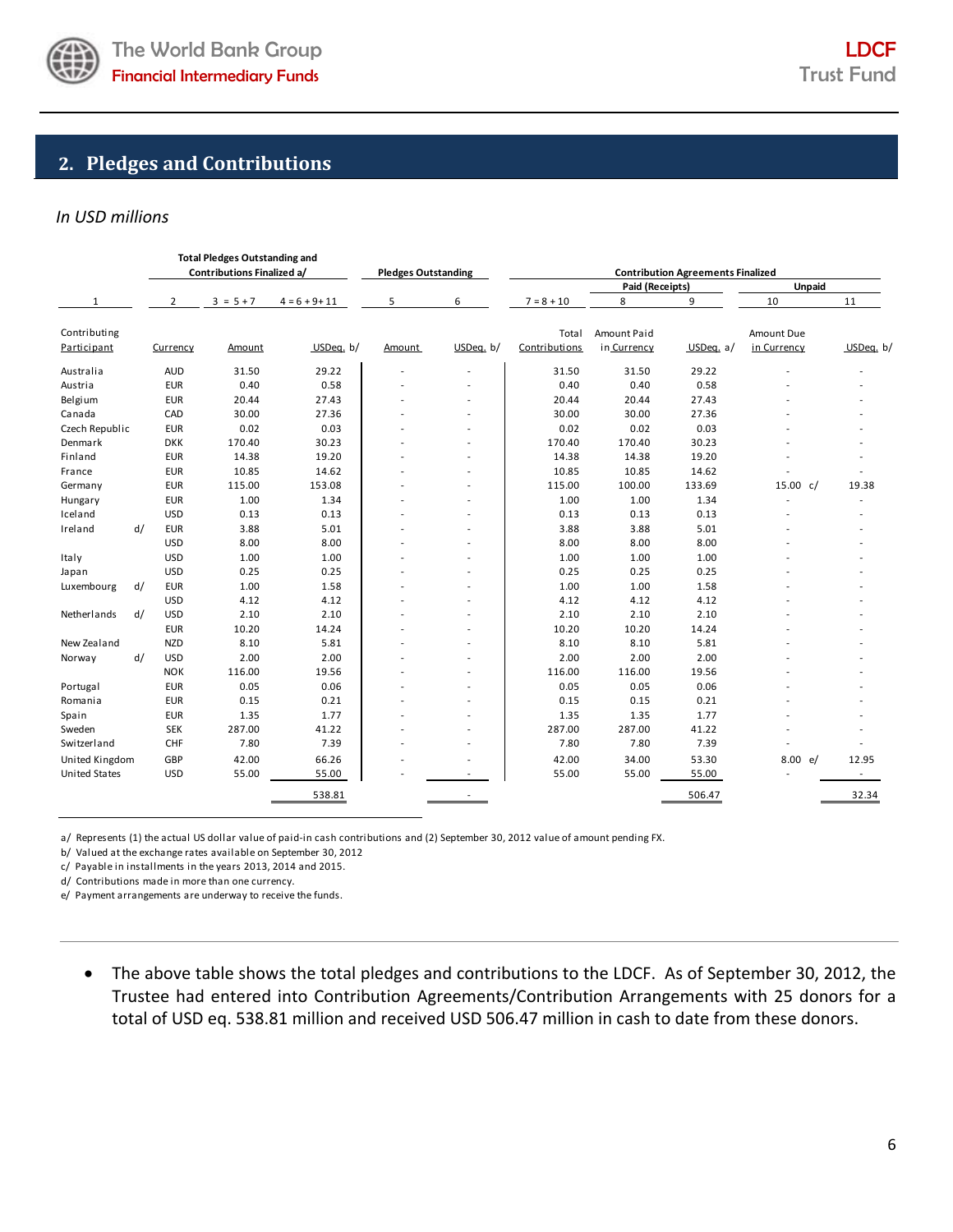

# **2. Pledges and Contributions**

# *In USD millions*

|                      |    | <b>Total Pledges Outstanding and</b><br>Contributions Finalized a/ |             |                  | <b>Pledges Outstanding</b> |           | <b>Contribution Agreements Finalized</b> |                 |           |             |           |
|----------------------|----|--------------------------------------------------------------------|-------------|------------------|----------------------------|-----------|------------------------------------------|-----------------|-----------|-------------|-----------|
|                      |    |                                                                    |             |                  |                            |           |                                          | Paid (Receipts) |           | Unpaid      |           |
| 1                    |    | 2                                                                  | $3 = 5 + 7$ | $4 = 6 + 9 + 11$ | 5<br>6                     |           | $7 = 8 + 10$                             | 8               | 9         | 10          | 11        |
| Contributing         |    |                                                                    |             |                  |                            |           | Total                                    | Amount Paid     |           | Amount Due  |           |
| Participant          |    | Currency                                                           | Amount      | USDeq. b/        | Amount                     | USDea, b/ | Contributions                            | in Currency     | USDea, a/ | in Currency | USDeq. b/ |
| Australia            |    | <b>AUD</b>                                                         | 31.50       | 29.22            |                            |           | 31.50                                    | 31.50           | 29.22     |             |           |
| Austria              |    | <b>EUR</b>                                                         | 0.40        | 0.58             |                            |           | 0.40                                     | 0.40            | 0.58      |             |           |
| Belgium              |    | <b>EUR</b>                                                         | 20.44       | 27.43            |                            |           | 20.44                                    | 20.44           | 27.43     |             |           |
| Canada               |    | CAD                                                                | 30.00       | 27.36            |                            |           | 30.00                                    | 30.00           | 27.36     |             |           |
| Czech Republic       |    | <b>EUR</b>                                                         | 0.02        | 0.03             |                            |           | 0.02                                     | 0.02            | 0.03      |             |           |
| Denmark              |    | <b>DKK</b>                                                         | 170.40      | 30.23            |                            |           | 170.40                                   | 170.40          | 30.23     |             |           |
| Finland              |    | <b>EUR</b>                                                         | 14.38       | 19.20            |                            |           | 14.38                                    | 14.38           | 19.20     |             |           |
| France               |    | <b>EUR</b>                                                         | 10.85       | 14.62            |                            |           | 10.85                                    | 10.85           | 14.62     |             |           |
| Germany              |    | <b>EUR</b>                                                         | 115.00      | 153.08           |                            |           | 115.00                                   | 100.00          | 133.69    | 15.00 c/    | 19.38     |
| Hungary              |    | <b>EUR</b>                                                         | 1.00        | 1.34             |                            |           | 1.00                                     | 1.00            | 1.34      |             |           |
| Iceland              |    | <b>USD</b>                                                         | 0.13        | 0.13             |                            |           | 0.13                                     | 0.13            | 0.13      |             |           |
| Ireland              | d/ | <b>EUR</b>                                                         | 3.88        | 5.01             |                            |           | 3.88                                     | 3.88            | 5.01      |             |           |
|                      |    | <b>USD</b>                                                         | 8.00        | 8.00             |                            |           | 8.00                                     | 8.00            | 8.00      |             |           |
| Italy                |    | <b>USD</b>                                                         | 1.00        | 1.00             |                            |           | 1.00                                     | 1.00            | 1.00      |             |           |
| Japan                |    | <b>USD</b>                                                         | 0.25        | 0.25             |                            |           | 0.25                                     | 0.25            | 0.25      |             |           |
| Luxembourg           | d/ | <b>EUR</b>                                                         | 1.00        | 1.58             |                            |           | 1.00                                     | 1.00            | 1.58      |             |           |
|                      |    | <b>USD</b>                                                         | 4.12        | 4.12             |                            |           | 4.12                                     | 4.12            | 4.12      |             |           |
| Netherlands          | d/ | <b>USD</b>                                                         | 2.10        | 2.10             |                            |           | 2.10                                     | 2.10            | 2.10      |             |           |
|                      |    | <b>EUR</b>                                                         | 10.20       | 14.24            |                            |           | 10.20                                    | 10.20           | 14.24     |             |           |
| New Zealand          |    | <b>NZD</b>                                                         | 8.10        | 5.81             |                            |           | 8.10                                     | 8.10            | 5.81      |             |           |
| Norway               | d/ | <b>USD</b>                                                         | 2.00        | 2.00             |                            |           | 2.00                                     | 2.00            | 2.00      |             |           |
|                      |    | <b>NOK</b>                                                         | 116.00      | 19.56            |                            |           | 116.00                                   | 116.00          | 19.56     |             |           |
| Portugal             |    | <b>EUR</b>                                                         | 0.05        | 0.06             |                            |           | 0.05                                     | 0.05            | 0.06      |             |           |
| Romania              |    | <b>EUR</b>                                                         | 0.15        | 0.21             |                            |           | 0.15                                     | 0.15            | 0.21      |             |           |
| Spain                |    | <b>EUR</b>                                                         | 1.35        | 1.77             |                            |           | 1.35                                     | 1.35            | 1.77      |             |           |
| Sweden               |    | <b>SEK</b>                                                         | 287.00      | 41.22            |                            |           | 287.00                                   | 287.00          | 41.22     |             |           |
| Switzerland          |    | CHF                                                                | 7.80        | 7.39             |                            |           | 7.80                                     | 7.80            | 7.39      |             |           |
| United Kingdom       |    | GBP                                                                | 42.00       | 66.26            |                            |           | 42.00                                    | 34.00           | 53.30     | 8.00 e/     | 12.95     |
| <b>United States</b> |    | <b>USD</b>                                                         | 55.00       | 55.00            |                            |           | 55.00                                    | 55.00           | 55.00     |             |           |
|                      |    |                                                                    |             | 538.81           |                            |           |                                          |                 | 506.47    |             | 32.34     |

a/ Represents (1) the actual US dollar value of paid-in cash contributions and (2) September 30, 2012 value of amount pending FX.

b/ Valued at the exchange rates available on September 30, 2012

c/ Payable in installments in the years 2013, 2014 and 2015.

d/ Contributions made in more than one currency.

e/ Payment arrangements are underway to receive the funds.

 The above table shows the total pledges and contributions to the LDCF. As of September 30, 2012, the Trustee had entered into Contribution Agreements/Contribution Arrangements with 25 donors for a total of USD eq. 538.81 million and received USD 506.47 million in cash to date from these donors.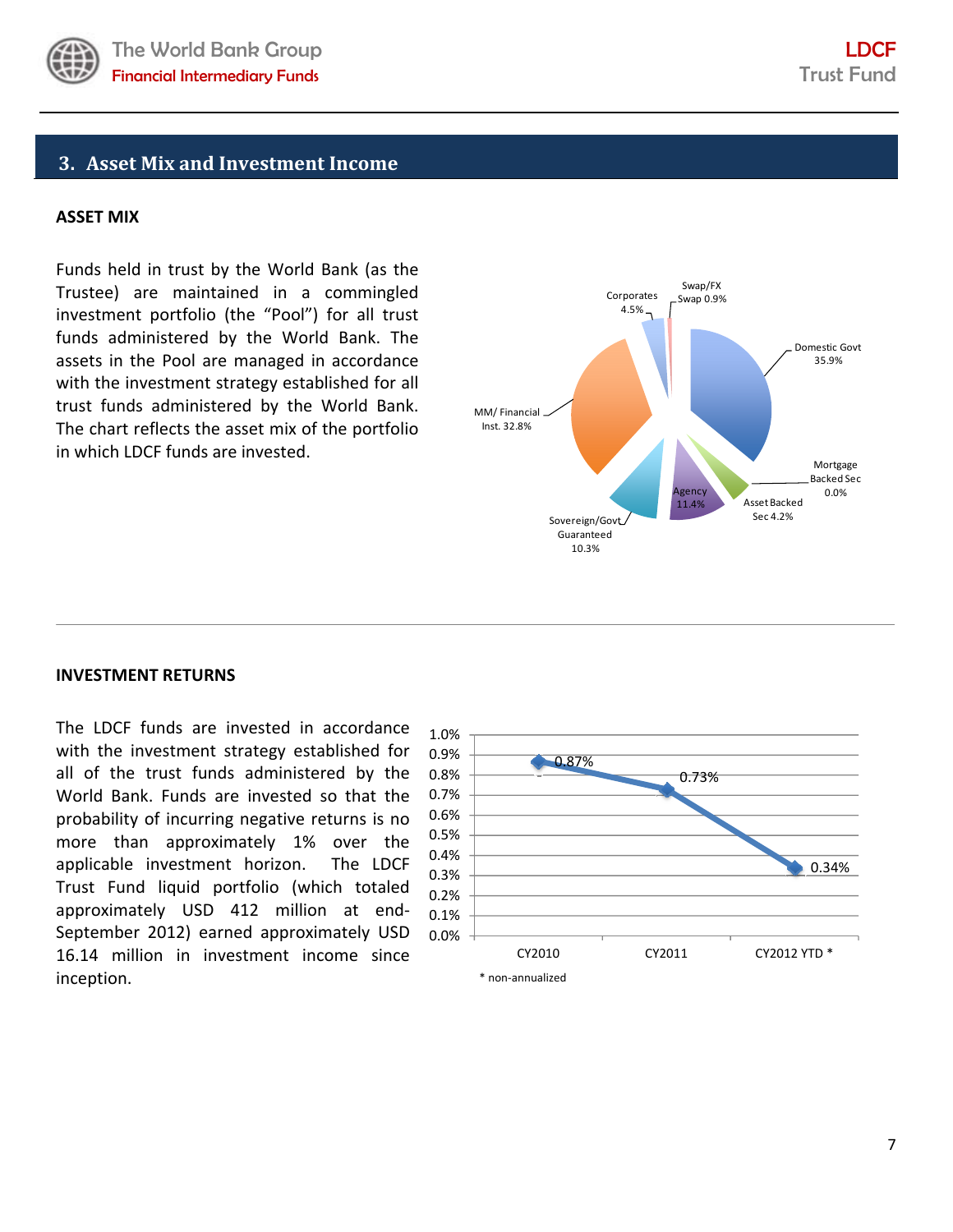

# **3. Asset Mix and Investment Income**

#### **ASSET MIX**

Funds held in trust by the World Bank (as the Trustee) are maintained in a commingled investment portfolio (the "Pool") for all trust funds administered by the World Bank. The assets in the Pool are managed in accordance with the investment strategy established for all trust funds administered by the World Bank. The chart reflects the asset mix of the portfolio in which LDCF funds are invested.



#### **INVESTMENT RETURNS**

The LDCF funds are invested in accordance with the investment strategy established for all of the trust funds administered by the World Bank. Funds are invested so that the probability of incurring negative returns is no more than approximately 1% over the applicable investment horizon. The LDCF Trust Fund liquid portfolio (which totaled approximately USD 412 million at end‐ September 2012) earned approximately USD 16.14 million in investment income since inception.

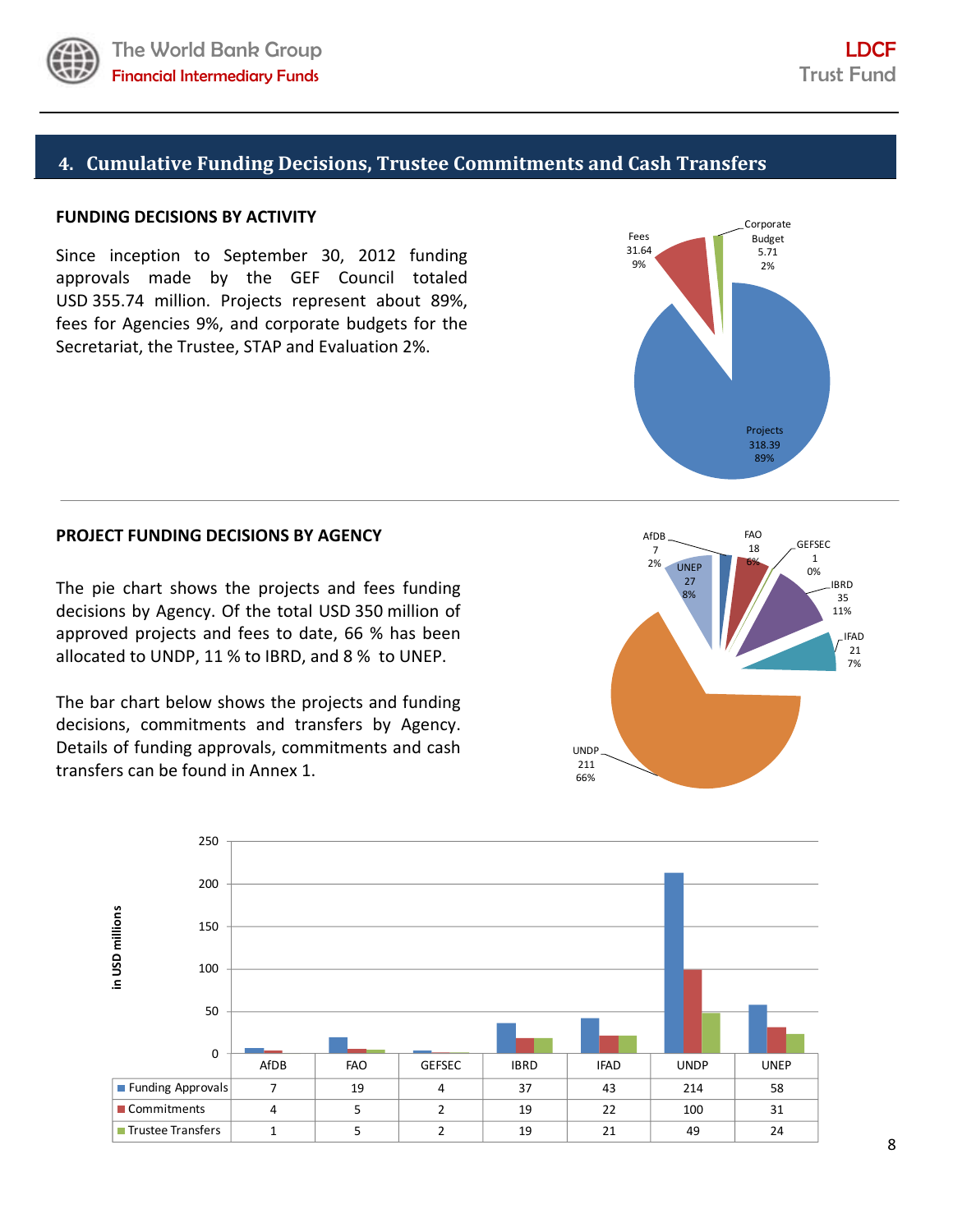

# **4. Cumulative Funding Decisions, Trustee Commitments and Cash Transfers**

## **FUNDING DECISIONS BY ACTIVITY**

Since inception to September 30, 2012 funding approvals made by the GEF Council totaled USD 355.74 million. Projects represent about 89%, fees for Agencies 9%, and corporate budgets for the Secretariat, the Trustee, STAP and Evaluation 2%.



### **PROJECT FUNDING DECISIONS BY AGENCY**

The pie chart shows the projects and fees funding decisions by Agency. Of the total USD 350 million of approved projects and fees to date, 66 % has been allocated to UNDP, 11 % to IBRD, and 8 % to UNEP.

The bar chart below shows the projects and funding decisions, commitments and transfers by Agency. Details of funding approvals, commitments and cash transfers can be found in Annex 1.



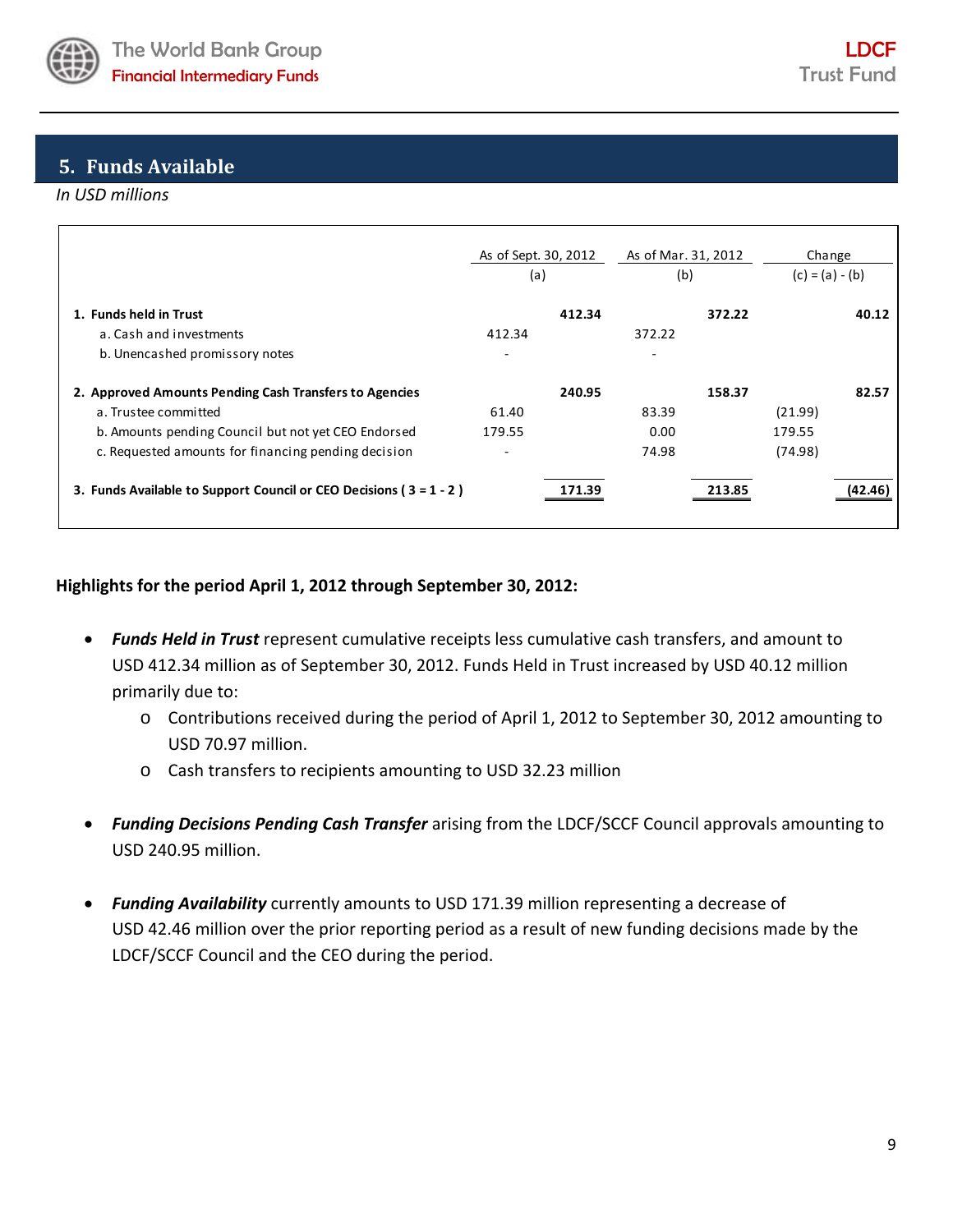

# **5. Funds Available**

### *In USD millions*

|                                                                                     | As of Sept. 30, 2012     | As of Mar. 31, 2012 | Change            |
|-------------------------------------------------------------------------------------|--------------------------|---------------------|-------------------|
|                                                                                     | (a)                      | (b)                 | $(c) = (a) - (b)$ |
| 1. Funds held in Trust<br>a. Cash and investments<br>b. Unencashed promissory notes | 412.34<br>412.34         | 372.22<br>372.22    | 40.12             |
| 2. Approved Amounts Pending Cash Transfers to Agencies                              | 240.95                   | 158.37              | 82.57             |
| a. Trustee committed                                                                | 61.40                    | 83.39               | (21.99)           |
| b. Amounts pending Council but not yet CEO Endorsed                                 | 179.55                   | 0.00                | 179.55            |
| c. Requested amounts for financing pending decision                                 | $\overline{\phantom{0}}$ | 74.98               | (74.98)           |
| 3. Funds Available to Support Council or CEO Decisions ( $3 = 1 - 2$ )              |                          |                     |                   |

# **Highlights for the period April 1, 2012 through September 30, 2012:**

- *Funds Held in Trust* represent cumulative receipts less cumulative cash transfers, and amount to USD 412.34 million as of September 30, 2012. Funds Held in Trust increased by USD 40.12 million primarily due to:
	- o Contributions received during the period of April 1, 2012 to September 30, 2012 amounting to USD 70.97 million.
	- o Cash transfers to recipients amounting to USD 32.23 million
- *Funding Decisions Pending Cash Transfer* arising from the LDCF/SCCF Council approvals amounting to USD 240.95 million.
- *Funding Availability* currently amounts to USD 171.39 million representing a decrease of USD 42.46 million over the prior reporting period as a result of new funding decisions made by the LDCF/SCCF Council and the CEO during the period.